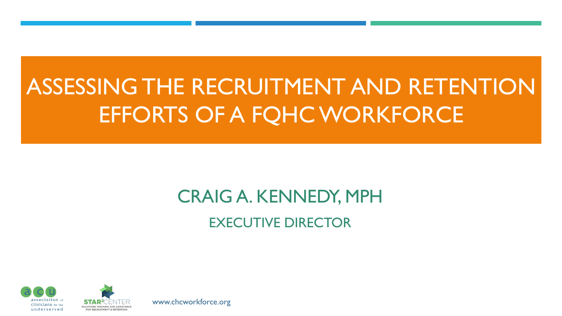# ASSESSING THE RECRUITMENT AND RETENTION EFFORTS OF A FQHC WORKFORCE

### CRAIG A. KENNEDY, MPH EXECUTIVE DIRECTOR





www.chcworkforce.org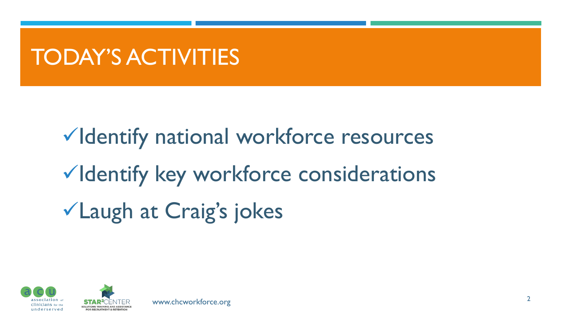# TODAY'S ACTIVITIES

✓Identify national workforce resources ✓Identify key workforce considerations ✓Laugh at Craig's jokes

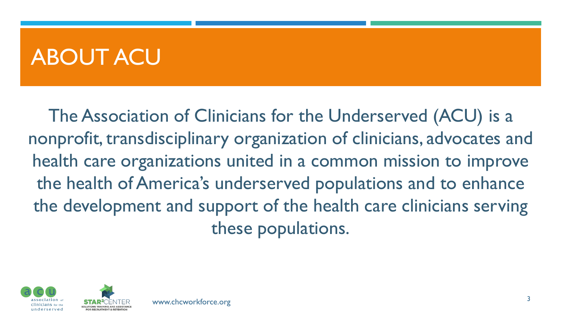# ABOUT ACU

The Association of Clinicians for the Underserved (ACU) is a nonprofit, transdisciplinary organization of clinicians, advocates and health care organizations united in a common mission to improve the health of America's underserved populations and to enhance the development and support of the health care clinicians serving these populations.

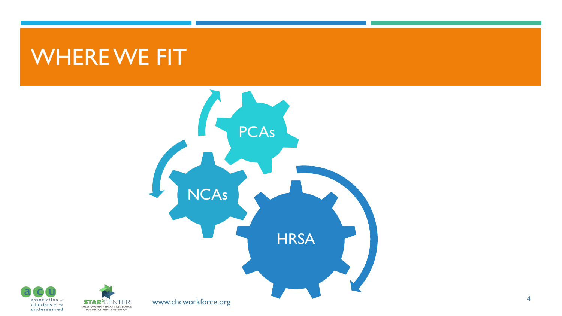# WHERE WE FIT

**STAR<sup>2</sup>CENTER** 

SOLUTIONS TRAINING AND ASSISTANCE<br>FOR RECRUITMENT & RETENTION



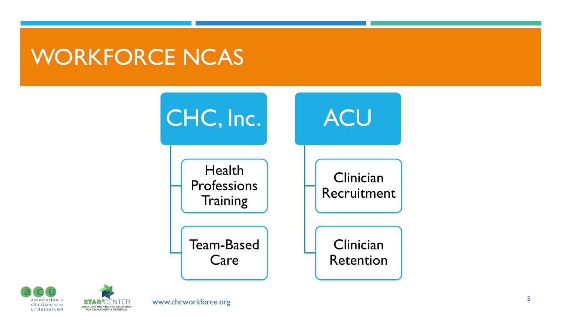# WORKFORCE NCAS





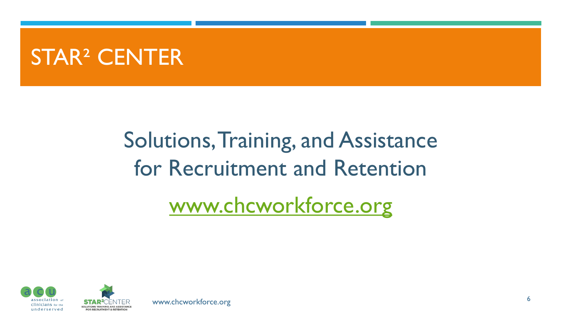# STAR² CENTER

# Solutions, Training, and Assistance for Recruitment and Retention [www.chcworkforce.org](http://www.chcworkforce.org/)



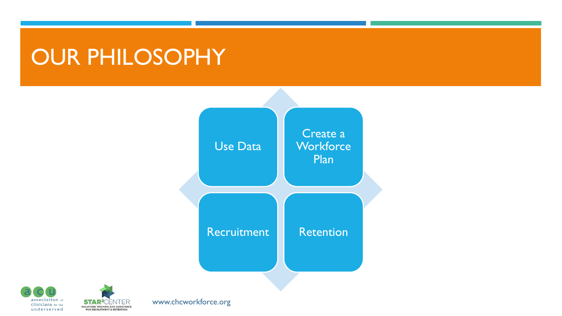# OUR PHILOSOPHY







www.chcworkforce.org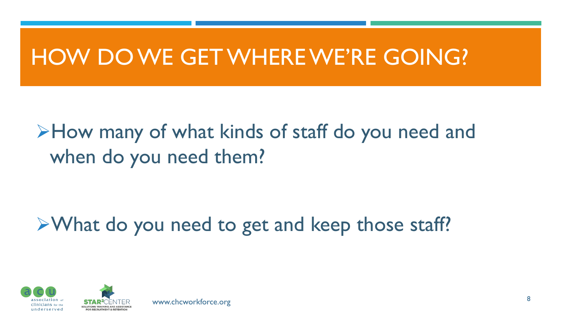# HOW DO WE GET WHERE WE'RE GOING?

➢How many of what kinds of staff do you need and when do you need them?

# ➢What do you need to get and keep those staff?



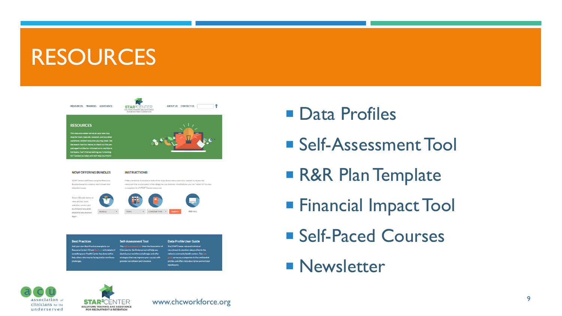# **RESOURCES**



#### **NOW OFFERING BUNDLES**

#### **INSTRUCTIONS**

STAR<sup>2</sup> Center staff have compiled Resource Bundles based on common recruitment and retention issues.

Make a selection from one or both of the drop-down menus and click 'submit' to review the resources that are included in the categories you selected. Alternatively you can "select All' to view a complete list of STAR<sup>2</sup> Center resources

SEE ALL



| <b>Best Practices</b>                                      | <b>Self-Assessment Tool</b>                       | Data Profile User Guide                           |
|------------------------------------------------------------|---------------------------------------------------|---------------------------------------------------|
| Add your own Best Practice example to our                  | This self-assessment tool from the Association of | The STAR <sup>2</sup> Center released individual  |
| <b>Resource Center! Fill out this form with details of</b> | Clinicians for the Underserved will help you      | recruitment & retention data profiles to the      |
| something your Health Center has done well to              | identify your workforce challenges and offer      | nation's community health centers. This user      |
| help others who may be facing similar workforce            | strategies that may improve your success with     | guide serves as a companion to the confidential   |
| challenges.                                                | provider recruitment and retention.               | profiles and offers data description and national |
|                                                            |                                                   | <b>benchmarks</b>                                 |

- **Data Profiles**
- **Self-Assessment Tool**
- **R&R Plan Template**
- **Financial Impact Tool**
- Self-Paced Courses
- **Newsletter**



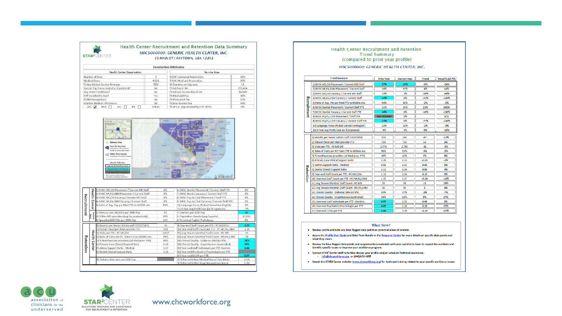|                                                                                                            | <b>STAR<sup>2</sup>CENTER</b>                                                                                                                                                                         |                | Health Center Recruitment and Retention Data Summary<br>HOCS000000: GENERIC HEALTH CENTER, INC.<br>10 MAIN ST   ANYTOWN, USA 12345 |                                       |  |  |
|------------------------------------------------------------------------------------------------------------|-------------------------------------------------------------------------------------------------------------------------------------------------------------------------------------------------------|----------------|------------------------------------------------------------------------------------------------------------------------------------|---------------------------------------|--|--|
| <b>Descriptive Attributes</b>                                                                              |                                                                                                                                                                                                       |                |                                                                                                                                    |                                       |  |  |
|                                                                                                            | <b>Health Center Organization</b><br><b>Service Area</b>                                                                                                                                              |                |                                                                                                                                    |                                       |  |  |
| Number of Sites                                                                                            |                                                                                                                                                                                                       | $\overline{4}$ | FOHC Uninsured Penetration                                                                                                         | 51%                                   |  |  |
|                                                                                                            | Medical Users<br>8,921<br>% Non-Patient Service Revenue<br>70%<br>Special Pop Focus (majority of patients)?<br>No                                                                                     |                | <b>FOHC Medicaid Penetration</b>                                                                                                   | 29%<br>13<br>153,434<br>84,849<br>31% |  |  |
|                                                                                                            |                                                                                                                                                                                                       |                | # Grantees serving area                                                                                                            |                                       |  |  |
|                                                                                                            |                                                                                                                                                                                                       |                | Total Pop in SA                                                                                                                    |                                       |  |  |
| Any Grant Conditions?<br>EHR Installed/In-Use?<br>PCMH Recognition?<br>Grantee Medical HPSA Score<br>CHC V |                                                                                                                                                                                                       | No             | Total Low Income Pop in SA                                                                                                         |                                       |  |  |
|                                                                                                            |                                                                                                                                                                                                       | Yes            | % Medicaid Pop                                                                                                                     |                                       |  |  |
|                                                                                                            |                                                                                                                                                                                                       | No             | % Uninsured Pop                                                                                                                    | 15%                                   |  |  |
|                                                                                                            |                                                                                                                                                                                                       | 18<br>Urban    | % Low Income Pop                                                                                                                   | 55%<br>O%                             |  |  |
|                                                                                                            | мнс Г<br>HO<br>PH                                                                                                                                                                                     |                | % of S.A. pop covered by a PC HPSA                                                                                                 |                                       |  |  |
|                                                                                                            | <b>Elset for Service Area statu)</b><br>Other Area Served<br>Curriculum Polis Intrin Pa                                                                                                               |                |                                                                                                                                    |                                       |  |  |
| Hea                                                                                                        | <b>Results Table Rey</b><br>Drg. Or Service Area Value<br>to be done states for an<br>is and Regard He<br>1) NHSC MD,DO Placement / Current MD Staff<br>2) NHSC NP, PA, CNM Placement / Current Staff | 0%<br>0%       | 6) NHSC Dentist Placement / Current Staff FTE<br>7) NHSC Dentist Vacancy / Current Staff FTE                                       | 0%<br>0%                              |  |  |
| 臣                                                                                                          | 3) NHSC MD,DO Vacancy / Current MD Staff                                                                                                                                                              | $0\%$          | 8) NHSC Psych,LCSW Placement / Staff FTE                                                                                           | $0\%$                                 |  |  |
|                                                                                                            | 4) NHSC NP, PA, CNM Vacancy / Current Staff                                                                                                                                                           | 0%             | 9) NHSC Psych, LCSW Vacancy / Current Staff FTE                                                                                    | 0%                                    |  |  |
| Center                                                                                                     | 5) Ratio of Avg. Pay per Med FTE to MGMA mix                                                                                                                                                          | 89%            | 10) Language Focus (% Best Served nonEnglish)                                                                                      | 0%                                    |  |  |
|                                                                                                            | 1) Primary Care MD/DOs per 100k Pop                                                                                                                                                                   | 33             | 11) 4 Year Avg Profit/Loss (as % Expenses)<br>4) Dentists per 100k Pop                                                             | $-7%$<br>21                           |  |  |
|                                                                                                            | 2) % Non-MD providers (wgt by productivity)                                                                                                                                                           | 29%            |                                                                                                                                    |                                       |  |  |
| Service<br>Area                                                                                            | 3) Specialist MD/DOs per 100k Pop                                                                                                                                                                     | 144            | 5) Population Density (pop/sq.mile)<br>6) % Limited English Proficiency                                                            | 6%                                    |  |  |
|                                                                                                            |                                                                                                                                                                                                       |                |                                                                                                                                    |                                       |  |  |
|                                                                                                            | 1) Months per Senior Admin staff (CEO/CMO)                                                                                                                                                            |                | 9) Year-end Staff Count per FTE - PC MD,DOs<br>50<br>959                                                                           | 3.57<br>1.35                          |  |  |
| <b>II</b>                                                                                                  | 2) Patient Panel per Med provider FTE<br>3) Visits per FTE - PC MD,DO                                                                                                                                 | 2,647          | 10) Year-end Staff Count per FTE - PC NP, PA, CNM<br>11) Avg Tenure Months/ Staff Count - PC MD                                    | 54                                    |  |  |
|                                                                                                            | 4) Ratio of Visits per PC Team FTE to MGMA mix                                                                                                                                                        | 99%            | 12) Avg Tenure Months/ Staff Count-NP, PA, CNM                                                                                     | 68                                    |  |  |
| lealth                                                                                                     | 5) % NonPhysician providers (of Med prov. FTE)                                                                                                                                                        |                | 13) Clinical Quality - Diabetes (HbA1c<8%)<br>60%                                                                                  | 28%                                   |  |  |
|                                                                                                            | 6) Primary Care Clinical Support Ratio                                                                                                                                                                |                | 14) Clinical Quality - Hypertension (controlled)<br>1.58                                                                           | 43%                                   |  |  |
| Center                                                                                                     | 7) Admin Support Ratio - Medical                                                                                                                                                                      |                | 15) Year-end staff individuals per FTE-Dentists<br>1.57                                                                            | 2.42                                  |  |  |
| Recruitment<br>Retentior                                                                                   | 8) Dental Clinical Support Ratio                                                                                                                                                                      |                | 1.58<br>16) Year-end Psychiatrist, Psychologist per FTE                                                                            | 17,925                                |  |  |
|                                                                                                            | 1) Violent crime rate per 100k Pop                                                                                                                                                                    |                | 17) Year-end LCSW per FTE<br>2) % Pop with Non-Medical Use of Pain Meds                                                            | 0.97<br>3.1%                          |  |  |

### **Health Center Recruitment and Retention Trend Summary** (compared to prior year profile)

### HOCS000000: GENERIC HEALTH CENTER, INC.

|             | <b>Trend Measure</b>                              | <b>Prior Year</b>   | <b>Current Year</b> | <b>Trend</b> | Trend % (of PY) |
|-------------|---------------------------------------------------|---------------------|---------------------|--------------|-----------------|
|             | 1) NHSC MD.DO Placement / Current MD Staff        | 27%                 | 18%                 | $-9%$        | $-34%$          |
|             | 2) NHSC NP, PA, CNM Placement / Current Staff     | 29%                 | 33%                 | 4%           | 14%             |
|             | 3) NHSC MD,DO Vacancy / Current MD Staff          | 18%                 | 3%                  | $-16%$       | $-86%$          |
|             | 4) NHSC NP, PA, CNM Vacancy / Current Staff       | 22%                 | 0%                  | $-22%$       | $-100%$         |
|             | 5) Ratio of Avg. Pay per Med FTE to MGMA mix      | 94%                 | 92%                 | $-2%$        | $-2%$           |
| Recruitment | 6) NHSC Dentist Placement / Current Staff FTE     | 11%                 | 31%                 | 21%          | 191%            |
|             | 7) NHSC Dentist Vacancy / Current Staff FTE       | 16%                 | 0%                  | $-16%$       | $-100%$         |
|             | 8) NHSC Psych.LCSW Placement / Staff FTE          | <b>Not Included</b> | 0%                  |              | N/A             |
|             | 9) NHSC Psych, LCSW Vacancy / Current Staff FTE   | 77%                 | 0%                  | $-77%$       | $-100%$         |
|             | 10) Language Focus (% Best Served nonEnglish)     | 22%                 | 21%                 | $-196$       | $-3%$           |
|             | 11) 4 Year Avg Profit/Loss (as % Expenses)        | 4%                  | 3%                  | 0%           | $-13%$          |
|             | 1) Months per Senior Admin staff (CEO/CMO)        | 318                 | 280                 | -37          | $-12%$          |
|             | 2) Patient Panel per Med provider FTE             | 710                 | 724                 | 14           | 2%              |
|             | 3) Visits per FTE - PC MD,DO                      | 2,776               | 2,745               | $-31$        | $-1%$           |
|             | 4) Ratio of Visits per PC Team FTE to MGMA mix    | 96%                 | 91%                 | -5%          | -5%             |
|             | 5) % NonPhysician providers (of Med prov. FTE)    | 39%                 | 42%                 | 3%           | 9%              |
|             | 6) Primary Care Clinical Support Ratio            | 2.26                | 2.23                | $-0.03$      | $-1%$           |
|             | 7) Admin Support Ratio - Medical                  | 0.99                | 1.01                | 0.03         | 3%              |
| Retention   | 8) Dental Clinical Support Ratio                  | 1.12                | 1.16                | 0.05         | 4%              |
|             | 9) Year-end Staff Count per FTE - PC MD,DOs       | 1.18                | 1.28                | 0.10         | 8%              |
|             | 10) Year-end Staff Count per FTE - PC NP,PA,CNM   | 1.37                | 1.17                | $-0.20$      | $-14%$          |
|             | 11) Avg Tenure Months/ Staff Count - PC MD        | 59                  | 70                  | 11           | 19%             |
|             | 12) Avg Tenure Months/ Staff Count - NP, PA, CNM  | 40                  | 44                  | з            | 8%              |
|             | 13) Clinical Quality - Diabetes (HbA1c<8%)        | 50%                 | 47%                 | -3%          | $-7%$           |
|             | 14) Clinical Quality - Hypertension (controlled)  | 54%                 | 63%                 | 9%           | 17%             |
|             | 15) Year-end staff individuals per FTE - Dentists | 0.97                | 1.05                | 0.08         | 8%              |
|             | 16) Year-end Psychiatrist, Psychologist per FTE   | 0.87                | 1.16                | 0.29         | 33%             |
|             | 17) Year-end LCSW per FTE                         | 2.84                | 1.39                | $-1.45$      | $-51%$          |

#### What Now?

#### . Review profile and note any blue flagged data points as potential areas of interest.

- . Access the Profile User Guide and Data Point Bundle in the Resource Center for more details on specific data points and what they mean.
- . Review the blue flagged data points and supplementary materials with your workforce team to unpack the numbers and identify specific issues to improve your workforce program.
- Contact STAR<sup>2</sup> Center staff to further discuss your profile and/or schedule Technical Assistance. o info@chcworkforce.org or (844)ACU-HIRE
- . Search the STAR2 Center website (www.chcworkforce.org) for tools and training related to your specific workforce issues



FOR RECRUITMENT & RETENTION

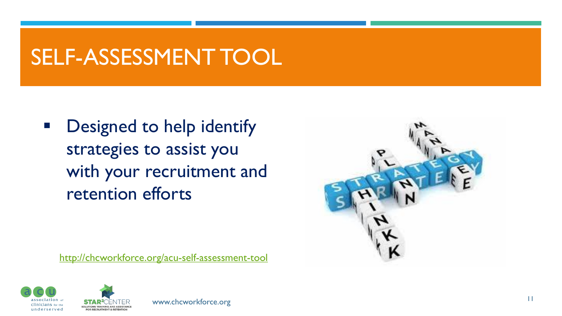# SELF-ASSESSMENT TOOL

■ Designed to help identify strategies to assist you with your recruitment and retention efforts



<http://chcworkforce.org/acu-self-assessment-tool>





**FOR RECRUITMENT & RETENTION**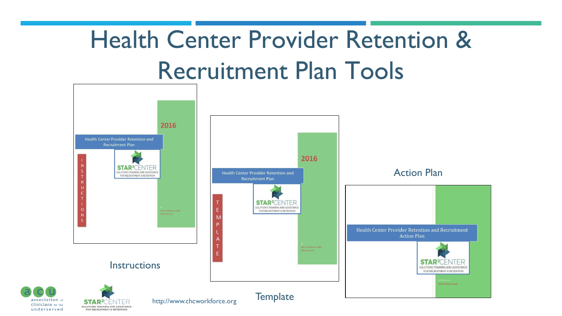# Health Center Provider Retention & Recruitment Plan Tools



underserved

FOR RECRUITMENT & RETENTION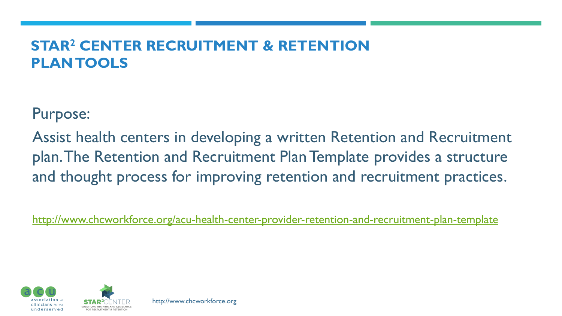### **STAR<sup>2</sup> CENTER RECRUITMENT & RETENTION PLAN TOOLS**

Purpose:

Assist health centers in developing a written Retention and Recruitment plan. The Retention and Recruitment Plan Template provides a structure and thought process for improving retention and recruitment practices.

<http://www.chcworkforce.org/acu-health-center-provider-retention-and-recruitment-plan-template>

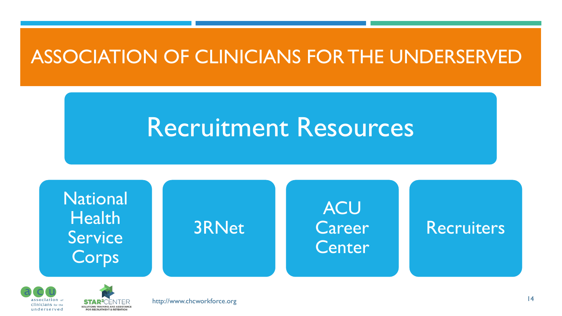### ASSOCIATION OF CLINICIANS FOR THE UNDERSERVED

# Recruitment Resources





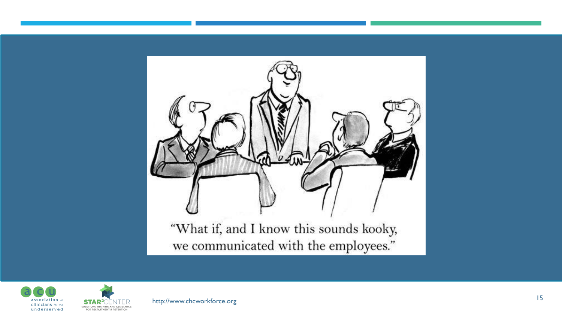



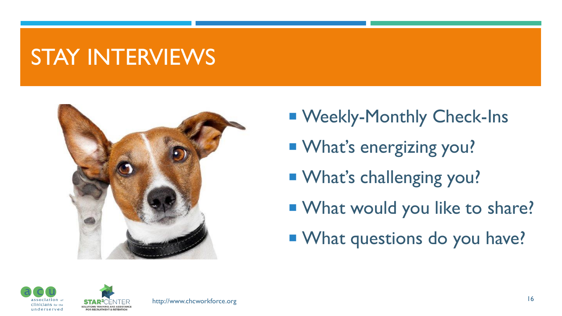# STAY INTERVIEWS



- Weekly-Monthly Check-Ins
- **Not's energizing you?**
- **No. 3 Manual What's challenging you?**
- **Not Would you like to share?**
- **Notaille 1 Million View Manuel Million Strate:**



SOLUTIONS TRAINING AND ASSISTANC

**EOP RECRUITMENT & RETENTION**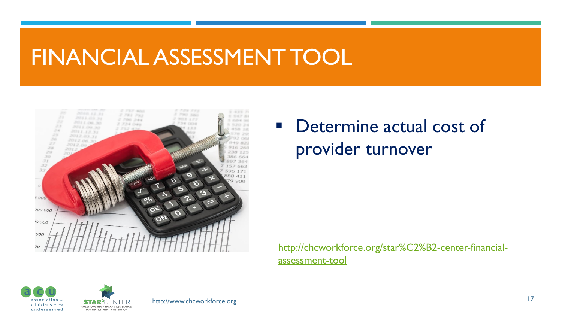# FINANCIAL ASSESSMENT TOOL



## ■ Determine actual cost of provider turnover

[http://chcworkforce.org/star%C2%B2-center-financial](http://chcworkforce.org/star%C2%B2-center-financial-assessment-tool)assessment-tool





http://www.chcworkforce.org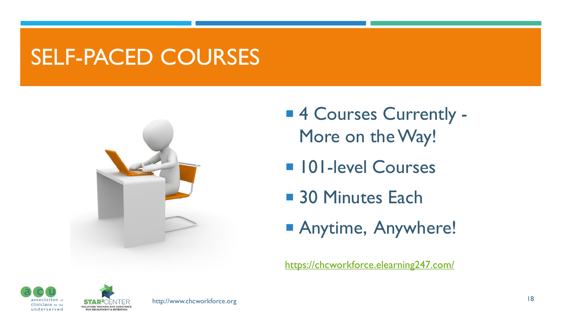# SELF-PACED COURSES



- 4 Courses Currently -More on the Way!
- **101-level Courses**
- 30 Minutes Each
- **Anytime, Anywhere!**

<https://chcworkforce.elearning247.com/>



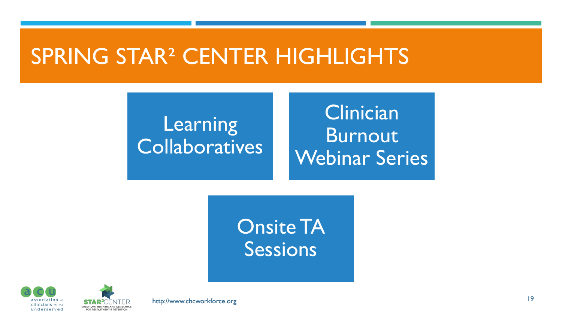# SPRING STAR² CENTER HIGHLIGHTS

## **Learning Collaboratives**

## **Clinician** Burnout Webinar Series

Onsite TA Sessions



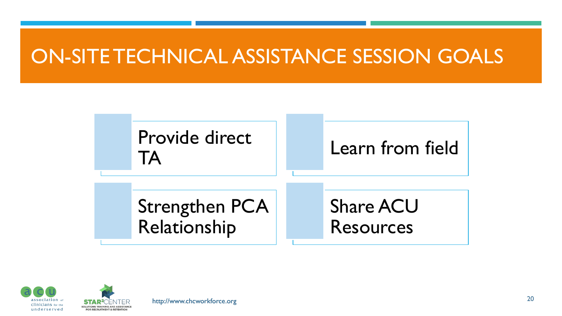## ON-SITE TECHNICAL ASSISTANCE SESSION GOALS





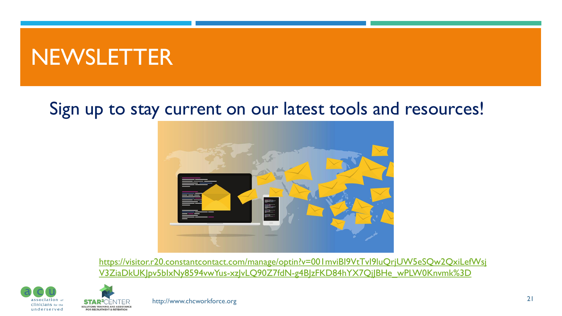# NEWSLETTER

**SOLUTIONS TRAINING AND ASSISTANCE** 

**EOP PECPLIITMENT & PETENTION** 

### Sign up to stay current on our latest tools and resources!



https://visitor.r20.constantcontact.com/manage/optin?v=001mviBI9VtTvI9luQrjUW5eSQw2QxiLefWsj V3ZiaDkUK|pv5blxNy8594vwYus-xz|vLQ90Z7fdN-g4B|zFKD84hYX7Qj|BHe\_wPLW0Knvmk%3D